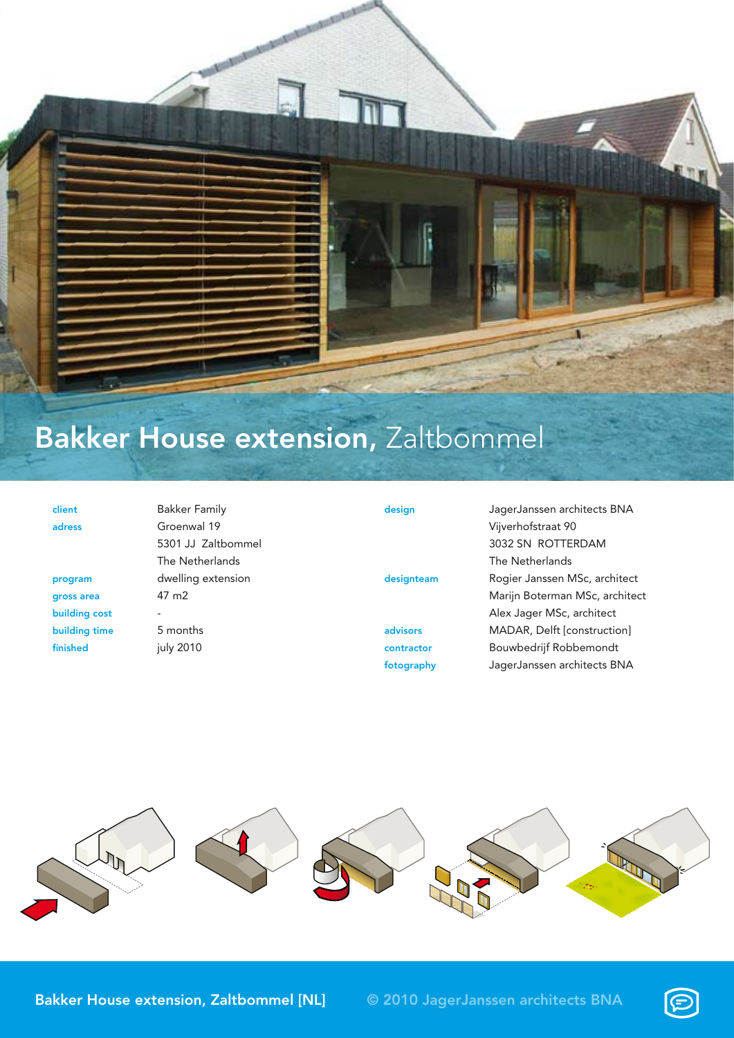

## Bakker House extension, Zaltbommel

| client        | <b>Bakker Family</b>     | design     | JagerJanssen architects BNA    |
|---------------|--------------------------|------------|--------------------------------|
| adress        | Groenwal 19              |            | Vijverhofstraat 90             |
|               | 5301 JJ Zaltbommel       |            | 3032 SN ROTTERDAM              |
|               | The Netherlands          |            | The Netherlands                |
| program       | dwelling extension       | designteam | Rogier Janssen MSc, architect  |
| gross area    | 47 m <sub>2</sub>        |            | Marijn Boterman MSc, architect |
| building cost | $\overline{\phantom{a}}$ |            | Alex Jager MSc, architect      |
| building time | 5 months                 | advisors   | MADAR, Delft [construction]    |
| finished      | july 2010                | contractor | Bouwbedrijf Robbemondt         |
|               |                          | fotography | JagerJanssen architects BNA    |



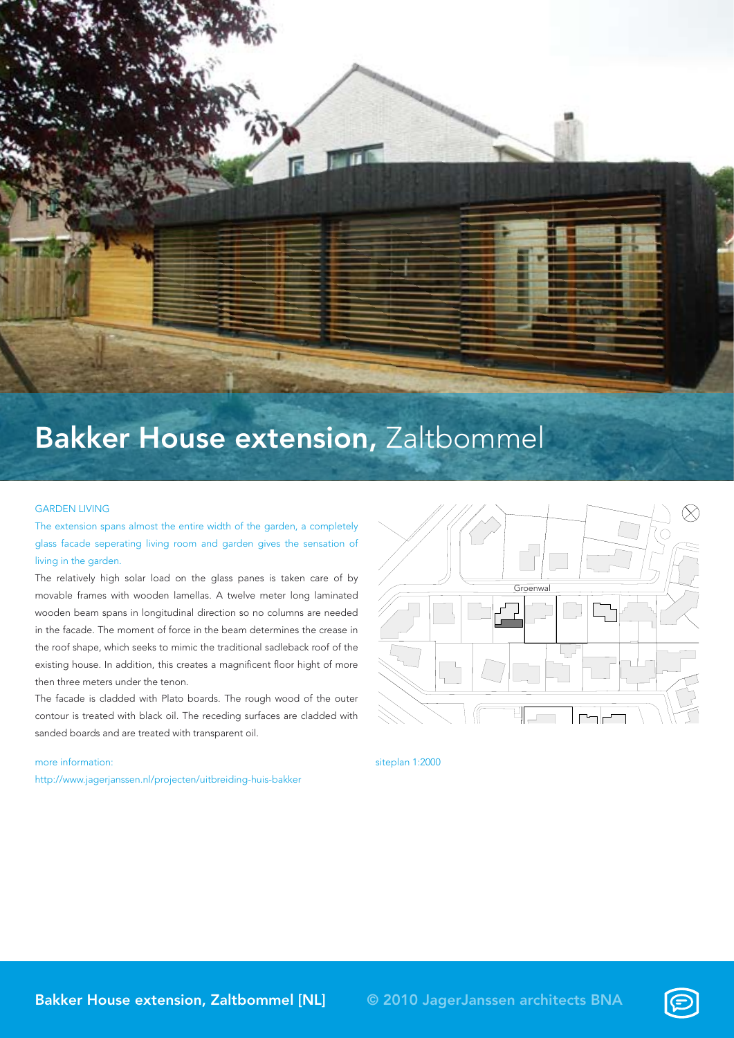

## Bakker House extension, Zaltbommel

## GARDEN LIVING

The extension spans almost the entire width of the garden, a completely glass facade seperating living room and garden gives the sensation of living in the garden.

The relatively high solar load on the glass panes is taken care of by movable frames with wooden lamellas. A twelve meter long laminated wooden beam spans in longitudinal direction so no columns are needed in the facade. The moment of force in the beam determines the crease in the roof shape, which seeks to mimic the traditional sadleback roof of the existing house. In addition, this creates a magnificent floor hight of more then three meters under the tenon.

The facade is cladded with Plato boards. The rough wood of the outer contour is treated with black oil. The receding surfaces are cladded with sanded boards and are treated with transparent oil.

## more information:

http://www.jagerjanssen.nl/projecten/uitbreiding-huis-bakker



siteplan 1:2000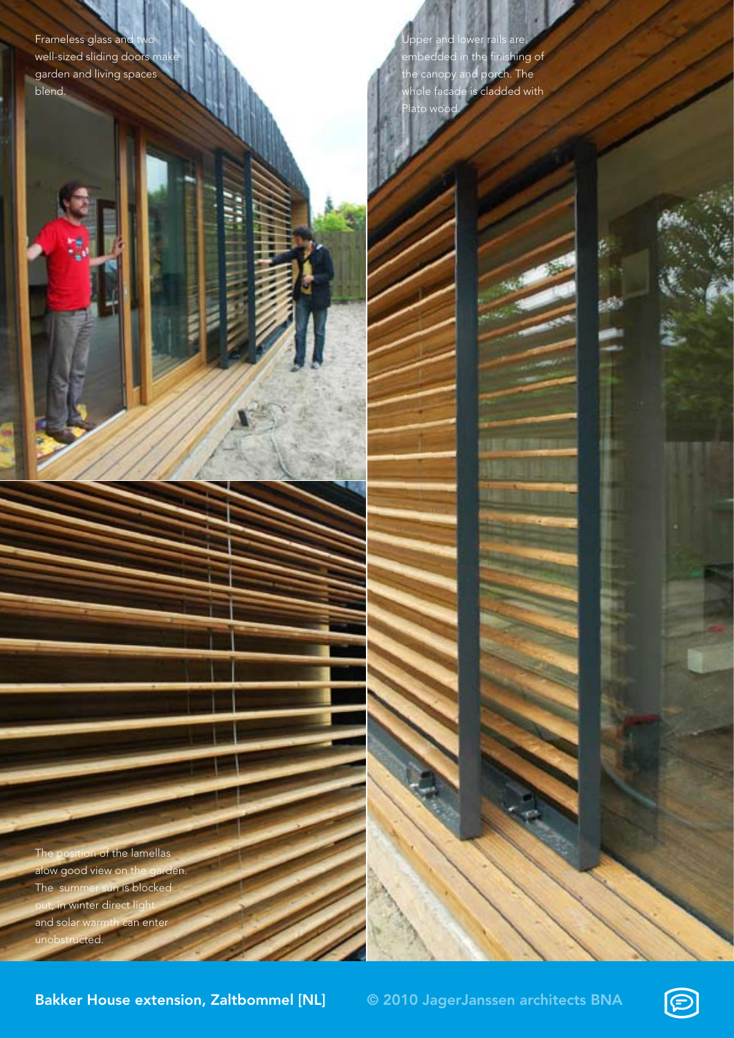Frameless glass and well-sized sliding doors mak garden and living spaces blend.

Upper and lower rails are embedded in the finishing of the canopy and porch. The whole facade is cladded with lato wood.

The position of the lamellas alow good view on the garden. The summer sun is blocked in winter direct light and solar warmth can enter ructed.